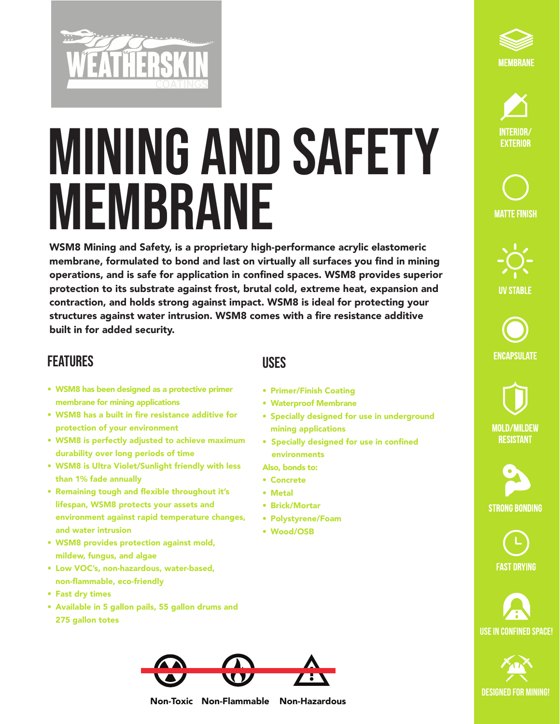

## MINING AND SAFETY MEMBRANE

WSM8 Mining and Safety, is a proprietary high-performance acrylic elastomeric membrane, formulated to bond and last on virtually all surfaces you find in mining operations, and is safe for application in confined spaces. WSM8 provides superior protection to its substrate against frost, brutal cold, extreme heat, expansion and contraction, and holds strong against impact. WSM8 is ideal for protecting your structures against water intrusion. WSM8 comes with a fire resistance additive built in for added security.

## **FEATURES**

- WSM8 has been designed as a protective primer membrane for mining applications
- WSM8 has a built in fire resistance additive for protection of your environment
- WSM8 is perfectly adjusted to achieve maximum durability over long periods of time
- WSM8 is Ultra Violet/Sunlight friendly with less than 1% fade annually
- Remaining tough and flexible throughout it's lifespan, WSM8 protects your assets and environment against rapid temperature changes, and water intrusion
- WSM8 provides protection against mold, mildew, fungus, and algae
- Low VOC's, non-hazardous, water-based, non-flammable, eco-friendly
- Fast dry times
- Available in 5 gallon pails, 55 gallon drums and 275 gallon totes

## Uses

- Primer/Finish Coating
- Waterproof Membrane
- Specially designed for use in underground mining applications
- Specially designed for use in confined environments
- Also, bonds to:
- Concrete
- Metal
- Brick/Mortar
- Polystyrene/Foam
- Wood/OSB





**MATTE FINISH** 





**MOLD/MILDEW RESISTANT** 

**STRONG BONDING** 

**FAST DRYING** 







Non-Toxic Non-Flammable Non-Hazardous